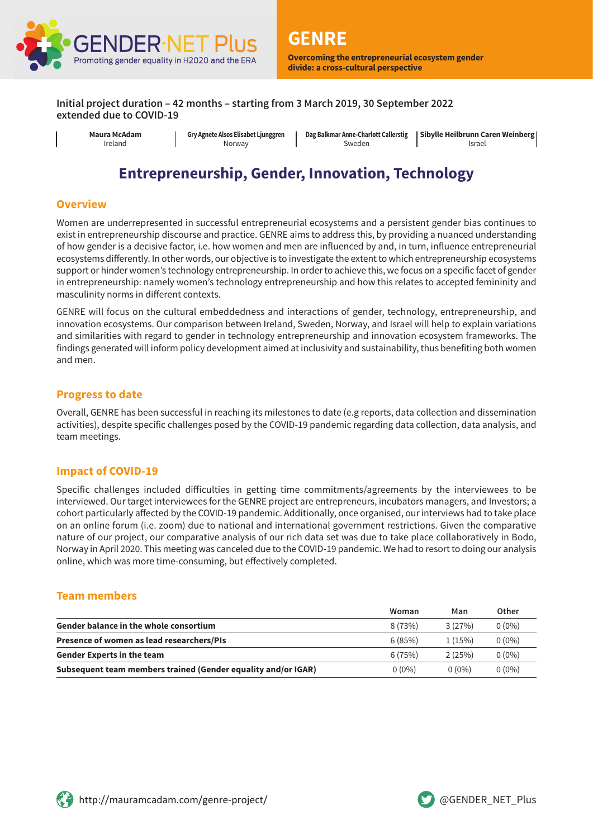

**Initial project duration – 42 months – starting from 3 March 2019, 30 September 2022 extended due to COVID-19**

| Maura McAdam |
|--------------|
| Ireland      |

**Gry Agnete Alsos Elisabet Ljunggren** Norway

**Dag Balkmar Anne-Charlott Callerstig** Sweden

**Sibylle Heilbrunn Caren Weinberg** Israel

# **Entrepreneurship, Gender, Innovation, Technology**

#### **Overview**

Women are underrepresented in successful entrepreneurial ecosystems and a persistent gender bias continues to exist in entrepreneurship discourse and practice. GENRE aims to address this, by providing a nuanced understanding of how gender is a decisive factor, i.e. how women and men are influenced by and, in turn, influence entrepreneurial ecosystems differently. In other words, our objective is to investigate the extent to which entrepreneurship ecosystems support or hinder women's technology entrepreneurship. In order to achieve this, we focus on a specific facet of gender in entrepreneurship: namely women's technology entrepreneurship and how this relates to accepted femininity and masculinity norms in different contexts.

GENRE will focus on the cultural embeddedness and interactions of gender, technology, entrepreneurship, and innovation ecosystems. Our comparison between Ireland, Sweden, Norway, and Israel will help to explain variations and similarities with regard to gender in technology entrepreneurship and innovation ecosystem frameworks. The findings generated will inform policy development aimed at inclusivity and sustainability, thus benefiting both women and men.

#### **Progress to date**

Overall, GENRE has been successful in reaching its milestones to date (e.g reports, data collection and dissemination activities), despite specific challenges posed by the COVID-19 pandemic regarding data collection, data analysis, and team meetings.

#### **Impact of COVID-19**

Specific challenges included difficulties in getting time commitments/agreements by the interviewees to be interviewed. Our target interviewees for the GENRE project are entrepreneurs, incubators managers, and Investors; a cohort particularly affected by the COVID-19 pandemic. Additionally, once organised, our interviews had to take place on an online forum (i.e. zoom) due to national and international government restrictions. Given the comparative nature of our project, our comparative analysis of our rich data set was due to take place collaboratively in Bodo, Norway in April 2020. This meeting was canceled due to the COVID-19 pandemic. We had to resort to doing our analysis online, which was more time-consuming, but effectively completed.

#### **Team members**

|                                                               | Woman    | Man      | Other    |
|---------------------------------------------------------------|----------|----------|----------|
| <b>Gender balance in the whole consortium</b>                 | 8(73%)   | 3(27%)   | $0(0\%)$ |
| Presence of women as lead researchers/PIs                     | 6(85%)   | 1(15%)   | $0(0\%)$ |
| <b>Gender Experts in the team</b>                             | 6(75%)   | 2(25%)   | $0(0\%)$ |
| Subsequent team members trained (Gender equality and/or IGAR) | $0(0\%)$ | $0(0\%)$ | $0(0\%)$ |